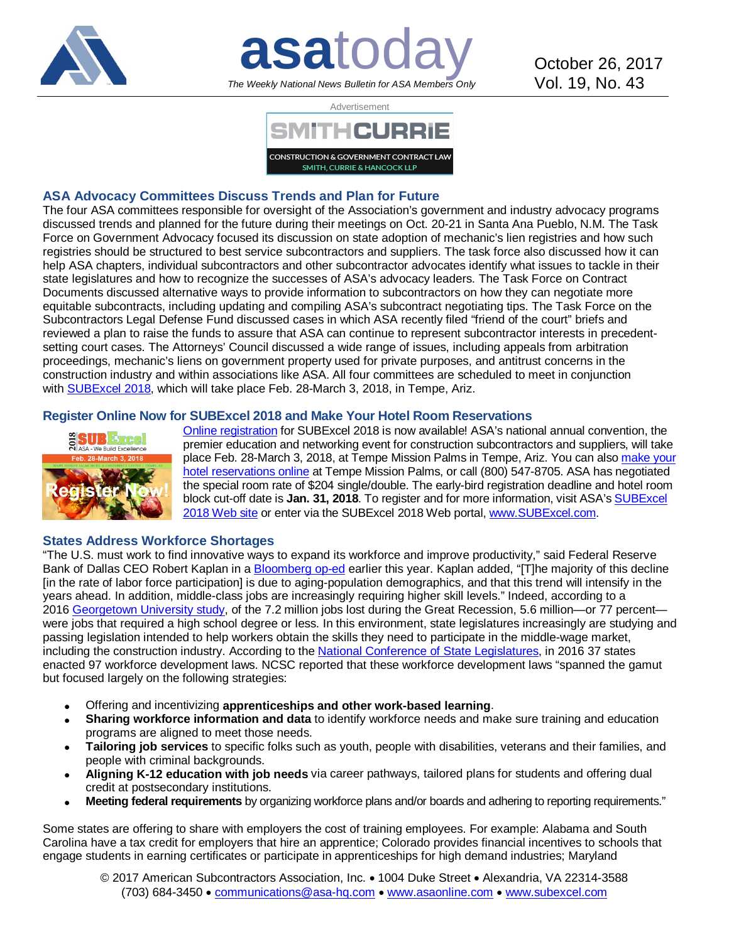

**asatoday** October 26, 2017 *The Weekly National News Bulletin for ASA Members Only*

Vol. 19, No. 43



## **ASA Advocacy Committees Discuss Trends and Plan for Future**

The four ASA committees responsible for oversight of the Association's government and industry advocacy programs discussed trends and planned for the future during their meetings on Oct. 20-21 in Santa Ana Pueblo, N.M. The Task Force on Government Advocacy focused its discussion on state adoption of mechanic's lien registries and how such registries should be structured to best service subcontractors and suppliers. The task force also discussed how it can help ASA chapters, individual subcontractors and other subcontractor advocates identify what issues to tackle in their state legislatures and how to recognize the successes of ASA's advocacy leaders. The Task Force on Contract Documents discussed alternative ways to provide information to subcontractors on how they can negotiate more equitable subcontracts, including updating and compiling ASA's subcontract negotiating tips. The Task Force on the Subcontractors Legal Defense Fund discussed cases in which ASA recently filed "friend of the court" briefs and reviewed a plan to raise the funds to assure that ASA can continue to represent subcontractor interests in precedentsetting court cases. The Attorneys' Council discussed a wide range of issues, including appeals from arbitration proceedings, mechanic's liens on government property used for private purposes, and antitrust concerns in the construction industry and within associations like ASA. All four committees are scheduled to meet in conjunction with [SUBExcel 2018,](http://bit.ly/2w8y1XQ) which will take place Feb. 28-March 3, 2018, in Tempe, Ariz.

### **Register Online Now for SUBExcel 2018 and Make Your Hotel Room Reservations**



[Online registration](http://bit.ly/2w8y1XQ) for SUBExcel 2018 is now available! ASA's national annual convention, the premier education and networking event for construction subcontractors and suppliers, will take place Feb. 28-March 3, 2018, at Tempe Mission Palms in Tempe, Ariz. You can also [make your](http://bit.ly/2j4xjox)  [hotel reservations online](http://bit.ly/2j4xjox) at Tempe Mission Palms, or call (800) 547-8705. ASA has negotiated the special room rate of \$204 single/double. The early-bird registration deadline and hotel room block cut-off date is **Jan. 31, 2018**. To register and for more information, visit ASA'[s SUBExcel](http://bit.ly/2w8y1XQ)  [2018 Web site](http://bit.ly/2w8y1XQ) or enter via the SUBExcel 2018 Web portal, [www.SUBExcel.com.](http://www.subexcel.com/)

### **States Address Workforce Shortages**

"The U.S. must work to find innovative ways to expand its workforce and improve productivity," said Federal Reserve Bank of Dallas CEO Robert Kaplan in a [Bloomberg op-ed](http://bloom.bg/2oXX0sW) earlier this year. Kaplan added, "[T]he majority of this decline [in the rate of labor force participation] is due to aging-population demographics, and that this trend will intensify in the years ahead. In addition, middle-class jobs are increasingly requiring higher skill levels." Indeed, according to a 2016 [Georgetown University study,](http://bit.ly/2yJ7jW9) of the 7.2 million jobs lost during the Great Recession, 5.6 million—or 77 percent were jobs that required a high school degree or less. In this environment, state legislatures increasingly are studying and passing legislation intended to help workers obtain the skills they need to participate in the middle-wage market, including the construction industry. According to the [National Conference of State Legislatures,](http://bit.ly/2gDrzhz) in 2016 37 states enacted 97 workforce development laws. NCSC reported that these workforce development laws "spanned the gamut but focused largely on the following strategies:

- Offering and incentivizing **apprenticeships and other work-based learning**.
- **Sharing workforce information and data** to identify workforce needs and make sure training and education programs are aligned to meet those needs.
- **Tailoring job services** to specific folks such as youth, people with disabilities, veterans and their families, and people with criminal backgrounds.
- **Aligning K-12 education with job needs** via career pathways, tailored plans for students and offering dual credit at postsecondary institutions.
- **Meeting federal requirements** by organizing workforce plans and/or boards and adhering to reporting requirements."

Some states are offering to share with employers the cost of training employees. For example: Alabama and South Carolina have a tax credit for employers that hire an apprentice; Colorado provides financial incentives to schools that engage students in earning certificates or participate in apprenticeships for high demand industries; Maryland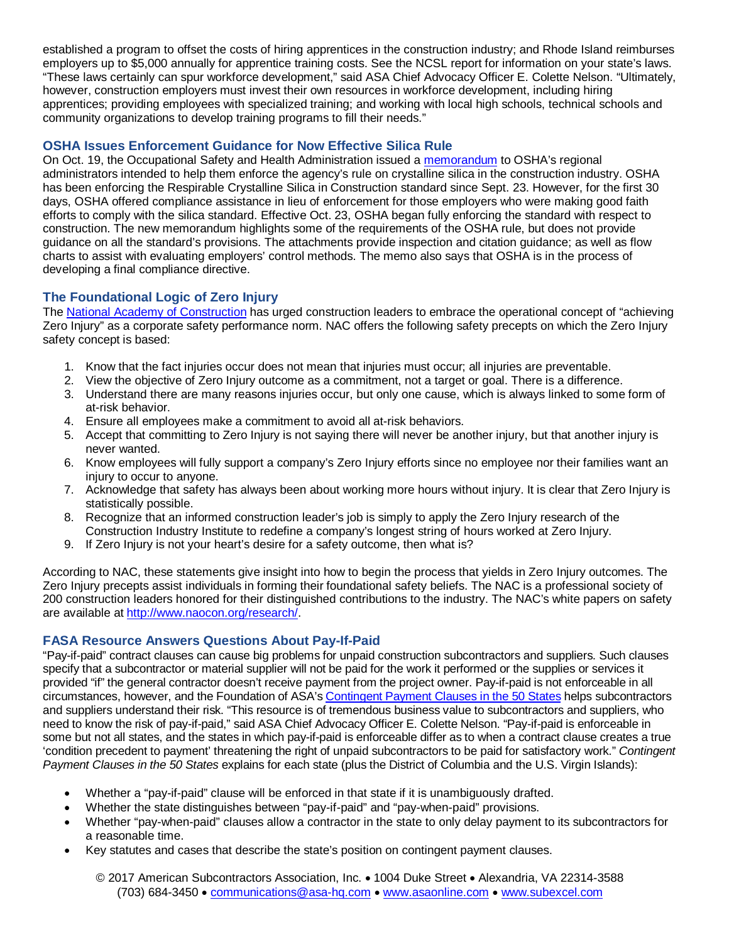established a program to offset the costs of hiring apprentices in the construction industry; and Rhode Island reimburses employers up to \$5,000 annually for apprentice training costs. See the NCSL report for information on your state's laws. "These laws certainly can spur workforce development," said ASA Chief Advocacy Officer E. Colette Nelson. "Ultimately, however, construction employers must invest their own resources in workforce development, including hiring apprentices; providing employees with specialized training; and working with local high schools, technical schools and community organizations to develop training programs to fill their needs."

## **OSHA Issues Enforcement Guidance for Now Effective Silica Rule**

On Oct. 19, the Occupational Safety and Health Administration issued a [memorandum](http://bit.ly/2ldvy9m) to OSHA's regional administrators intended to help them enforce the agency's rule on crystalline silica in the construction industry. OSHA has been enforcing the Respirable Crystalline Silica in Construction standard since Sept. 23. However, for the first 30 days, OSHA offered compliance assistance in lieu of enforcement for those employers who were making good faith efforts to comply with the silica standard. Effective Oct. 23, OSHA began fully enforcing the standard with respect to construction. The new memorandum highlights some of the requirements of the OSHA rule, but does not provide guidance on all the standard's provisions. The attachments provide inspection and citation guidance; as well as flow charts to assist with evaluating employers' control methods. The memo also says that OSHA is in the process of developing a final compliance directive.

# **The Foundational Logic of Zero Injury**

The [National Academy of Construction](http://bit.ly/2h8kh5L) has urged construction leaders to embrace the operational concept of "achieving Zero Injury" as a corporate safety performance norm. NAC offers the following safety precepts on which the Zero Injury safety concept is based:

- 1. Know that the fact injuries occur does not mean that injuries must occur; all injuries are preventable.
- 2. View the objective of Zero Injury outcome as a commitment, not a target or goal. There is a difference.
- 3. Understand there are many reasons injuries occur, but only one cause, which is always linked to some form of at-risk behavior.
- 4. Ensure all employees make a commitment to avoid all at-risk behaviors.
- 5. Accept that committing to Zero Injury is not saying there will never be another injury, but that another injury is never wanted.
- 6. Know employees will fully support a company's Zero Injury efforts since no employee nor their families want an injury to occur to anyone.
- 7. Acknowledge that safety has always been about working more hours without injury. It is clear that Zero Injury is statistically possible.
- 8. Recognize that an informed construction leader's job is simply to apply the Zero Injury research of the Construction Industry Institute to redefine a company's longest string of hours worked at Zero Injury.
- 9. If Zero Injury is not your heart's desire for a safety outcome, then what is?

According to NAC, these statements give insight into how to begin the process that yields in Zero Injury outcomes. The Zero Injury precepts assist individuals in forming their foundational safety beliefs. The NAC is a professional society of 200 construction leaders honored for their distinguished contributions to the industry. The NAC's white papers on safety are available a[t http://www.naocon.org/research/.](http://www.naocon.org/research/)

# **FASA Resource Answers Questions About Pay-If-Paid**

"Pay-if-paid" contract clauses can cause big problems for unpaid construction subcontractors and suppliers. Such clauses specify that a subcontractor or material supplier will not be paid for the work it performed or the supplies or services it provided "if" the general contractor doesn't receive payment from the project owner. Pay-if-paid is not enforceable in all circumstances, however, and the Foundation of ASA'[s Contingent Payment Clauses in the 50 States](http://bit.ly/2owsnLy) helps subcontractors and suppliers understand their risk. "This resource is of tremendous business value to subcontractors and suppliers, who need to know the risk of pay-if-paid," said ASA Chief Advocacy Officer E. Colette Nelson. "Pay-if-paid is enforceable in some but not all states, and the states in which pay-if-paid is enforceable differ as to when a contract clause creates a true 'condition precedent to payment' threatening the right of unpaid subcontractors to be paid for satisfactory work." *Contingent Payment Clauses in the 50 States* explains for each state (plus the District of Columbia and the U.S. Virgin Islands):

- Whether a "pay-if-paid" clause will be enforced in that state if it is unambiguously drafted.
- Whether the state distinguishes between "pay-if-paid" and "pay-when-paid" provisions.
- Whether "pay-when-paid" clauses allow a contractor in the state to only delay payment to its subcontractors for a reasonable time.
- Key statutes and cases that describe the state's position on contingent payment clauses.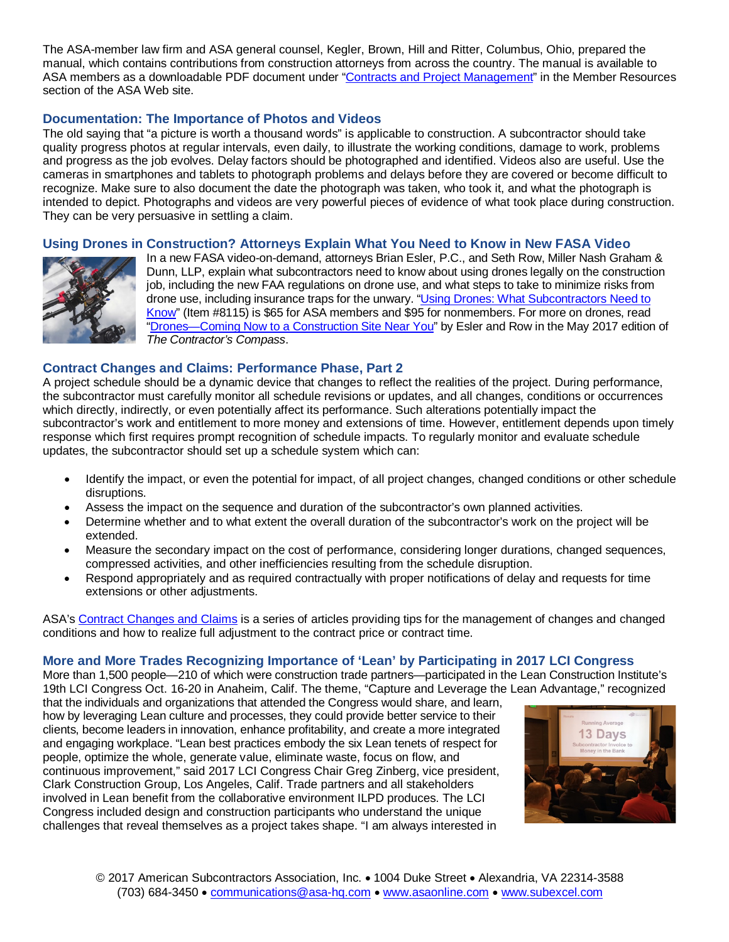The ASA-member law firm and ASA general counsel, Kegler, Brown, Hill and Ritter, Columbus, Ohio, prepared the manual, which contains contributions from construction attorneys from across the country. The manual is available to ASA members as a downloadable PDF document under ["Contracts and Project Management"](http://bit.ly/1b9Uwt7) in the Member Resources section of the ASA Web site.

## **Documentation: The Importance of Photos and Videos**

The old saying that "a picture is worth a thousand words" is applicable to construction. A subcontractor should take quality progress photos at regular intervals, even daily, to illustrate the working conditions, damage to work, problems and progress as the job evolves. Delay factors should be photographed and identified. Videos also are useful. Use the cameras in smartphones and tablets to photograph problems and delays before they are covered or become difficult to recognize. Make sure to also document the date the photograph was taken, who took it, and what the photograph is intended to depict. Photographs and videos are very powerful pieces of evidence of what took place during construction. They can be very persuasive in settling a claim.

### **Using Drones in Construction? Attorneys Explain What You Need to Know in New FASA Video**



In a new FASA video-on-demand, attorneys Brian Esler, P.C., and Seth Row, Miller Nash Graham & Dunn, LLP, explain what subcontractors need to know about using drones legally on the construction job, including the new FAA regulations on drone use, and what steps to take to minimize risks from drone use, including insurance traps for the unwary. ["Using Drones: What Subcontractors Need to](http://bit.ly/2yOVSf9)  [Know"](http://bit.ly/2yOVSf9) (Item #8115) is \$65 for ASA members and \$95 for nonmembers. For more on drones, read ["Drones—Coming Now to a Construction Site Near You"](http://bit.ly/2xYduVs) by Esler and Row in the May 2017 edition of *The Contractor's Compass*.

### **Contract Changes and Claims: Performance Phase, Part 2**

A project schedule should be a dynamic device that changes to reflect the realities of the project. During performance, the subcontractor must carefully monitor all schedule revisions or updates, and all changes, conditions or occurrences which directly, indirectly, or even potentially affect its performance. Such alterations potentially impact the subcontractor's work and entitlement to more money and extensions of time. However, entitlement depends upon timely response which first requires prompt recognition of schedule impacts. To regularly monitor and evaluate schedule updates, the subcontractor should set up a schedule system which can:

- Identify the impact, or even the potential for impact, of all project changes, changed conditions or other schedule disruptions.
- Assess the impact on the sequence and duration of the subcontractor's own planned activities.
- Determine whether and to what extent the overall duration of the subcontractor's work on the project will be extended.
- Measure the secondary impact on the cost of performance, considering longer durations, changed sequences, compressed activities, and other inefficiencies resulting from the schedule disruption.
- Respond appropriately and as required contractually with proper notifications of delay and requests for time extensions or other adjustments.

ASA's [Contract Changes and Claims](http://bit.ly/1CRsZuK) is a series of articles providing tips for the management of changes and changed conditions and how to realize full adjustment to the contract price or contract time.

### **More and More Trades Recognizing Importance of 'Lean' by Participating in 2017 LCI Congress**

More than 1,500 people—210 of which were construction trade partners—participated in the Lean Construction Institute's 19th LCI Congress Oct. 16-20 in Anaheim, Calif. The theme, "Capture and Leverage the Lean Advantage," recognized

that the individuals and organizations that attended the Congress would share, and learn, how by leveraging Lean culture and processes, they could provide better service to their clients, become leaders in innovation, enhance profitability, and create a more integrated and engaging workplace. "Lean best practices embody the six Lean tenets of respect for people, optimize the whole, generate value, eliminate waste, focus on flow, and continuous improvement," said 2017 LCI Congress Chair Greg Zinberg, vice president, Clark Construction Group, Los Angeles, Calif. Trade partners and all stakeholders involved in Lean benefit from the collaborative environment ILPD produces. The LCI Congress included design and construction participants who understand the unique challenges that reveal themselves as a project takes shape. "I am always interested in